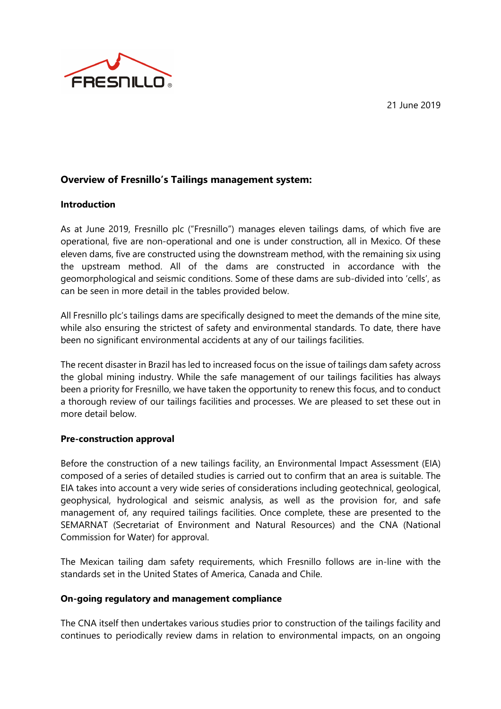21 June 2019



## **Overview of Fresnillo's Tailings management system:**

### **Introduction**

As at June 2019, Fresnillo plc ("Fresnillo") manages eleven tailings dams, of which five are operational, five are non-operational and one is under construction, all in Mexico. Of these eleven dams, five are constructed using the downstream method, with the remaining six using the upstream method. All of the dams are constructed in accordance with the geomorphological and seismic conditions. Some of these dams are sub-divided into 'cells', as can be seen in more detail in the tables provided below.

All Fresnillo plc's tailings dams are specifically designed to meet the demands of the mine site, while also ensuring the strictest of safety and environmental standards. To date, there have been no significant environmental accidents at any of our tailings facilities.

The recent disaster in Brazil has led to increased focus on the issue of tailings dam safety across the global mining industry. While the safe management of our tailings facilities has always been a priority for Fresnillo, we have taken the opportunity to renew this focus, and to conduct a thorough review of our tailings facilities and processes. We are pleased to set these out in more detail below.

### **Pre-construction approval**

Before the construction of a new tailings facility, an Environmental Impact Assessment (EIA) composed of a series of detailed studies is carried out to confirm that an area is suitable. The EIA takes into account a very wide series of considerations including geotechnical, geological, geophysical, hydrological and seismic analysis, as well as the provision for, and safe management of, any required tailings facilities. Once complete, these are presented to the SEMARNAT (Secretariat of Environment and Natural Resources) and the CNA (National Commission for Water) for approval.

The Mexican tailing dam safety requirements, which Fresnillo follows are in-line with the standards set in the United States of America, Canada and Chile.

### **On-going regulatory and management compliance**

The CNA itself then undertakes various studies prior to construction of the tailings facility and continues to periodically review dams in relation to environmental impacts, on an ongoing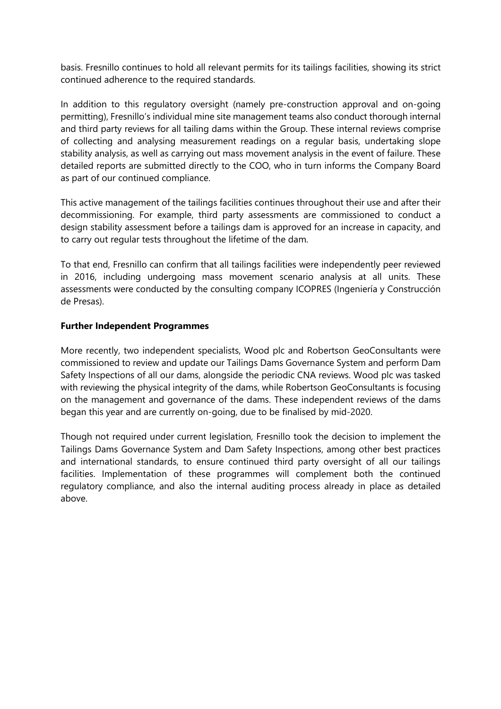basis. Fresnillo continues to hold all relevant permits for its tailings facilities, showing its strict continued adherence to the required standards.

In addition to this regulatory oversight (namely pre-construction approval and on-going permitting), Fresnillo's individual mine site management teams also conduct thorough internal and third party reviews for all tailing dams within the Group. These internal reviews comprise of collecting and analysing measurement readings on a regular basis, undertaking slope stability analysis, as well as carrying out mass movement analysis in the event of failure. These detailed reports are submitted directly to the COO, who in turn informs the Company Board as part of our continued compliance.

This active management of the tailings facilities continues throughout their use and after their decommissioning. For example, third party assessments are commissioned to conduct a design stability assessment before a tailings dam is approved for an increase in capacity, and to carry out regular tests throughout the lifetime of the dam.

To that end, Fresnillo can confirm that all tailings facilities were independently peer reviewed in 2016, including undergoing mass movement scenario analysis at all units. These assessments were conducted by the consulting company ICOPRES (Ingeniería y Construcción de Presas).

### **Further Independent Programmes**

More recently, two independent specialists, Wood plc and Robertson GeoConsultants were commissioned to review and update our Tailings Dams Governance System and perform Dam Safety Inspections of all our dams, alongside the periodic CNA reviews. Wood plc was tasked with reviewing the physical integrity of the dams, while Robertson GeoConsultants is focusing on the management and governance of the dams. These independent reviews of the dams began this year and are currently on-going, due to be finalised by mid-2020.

Though not required under current legislation, Fresnillo took the decision to implement the Tailings Dams Governance System and Dam Safety Inspections, among other best practices and international standards, to ensure continued third party oversight of all our tailings facilities. Implementation of these programmes will complement both the continued regulatory compliance, and also the internal auditing process already in place as detailed above.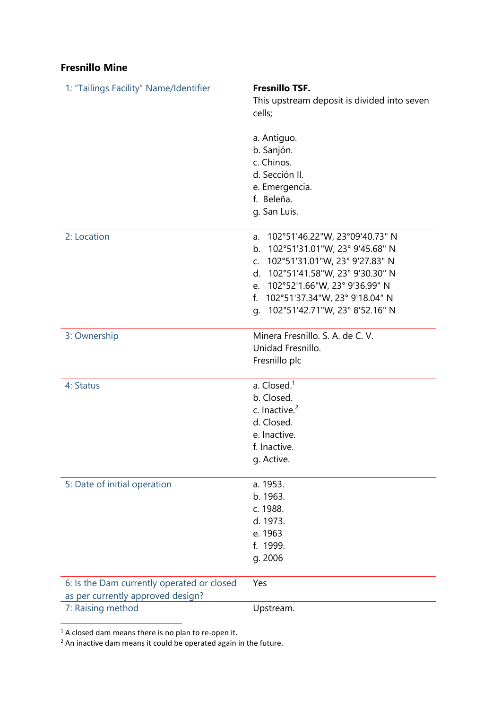## **Fresnillo Mine**

| 1: "Tailings Facility" Name/Identifier                                          | <b>Fresnillo TSF.</b><br>This upstream deposit is divided into seven<br>cells;                                                                                                                                                                                                               |
|---------------------------------------------------------------------------------|----------------------------------------------------------------------------------------------------------------------------------------------------------------------------------------------------------------------------------------------------------------------------------------------|
|                                                                                 | a. Antiguo.<br>b. Sanjón.<br>c. Chinos.<br>d. Sección II.                                                                                                                                                                                                                                    |
|                                                                                 | e. Emergencia.<br>f. Beleña.<br>g. San Luis.                                                                                                                                                                                                                                                 |
| 2: Location                                                                     | 102°51'46.22"W, 23°09'40.73" N<br>a.<br>102°51'31.01"W, 23° 9'45.68" N<br>b.<br>102°51'31.01"W, 23° 9'27.83" N<br>$C_{\cdot}$<br>102°51'41.58"W, 23° 9'30.30" N<br>d.<br>102°52'1.66"W, 23° 9'36.99" N<br>e.<br>102°51'37.34"W, 23° 9'18.04" N<br>f.<br>102°51'42.71"W, 23° 8'52.16" N<br>q. |
| 3: Ownership                                                                    | Minera Fresnillo. S. A. de C. V.<br>Unidad Fresnillo.<br>Fresnillo plc                                                                                                                                                                                                                       |
| 4: Status                                                                       | a. Closed. <sup>1</sup><br>b. Closed.<br>c. Inactive. <sup>2</sup><br>d. Closed.<br>e. Inactive.<br>f. Inactive.<br>g. Active.                                                                                                                                                               |
| 5: Date of initial operation                                                    | a. 1953.<br>b. 1963.<br>c. 1988.<br>d. 1973.<br>e. 1963<br>f. 1999.<br>g. 2006                                                                                                                                                                                                               |
| 6: Is the Dam currently operated or closed<br>as per currently approved design? | Yes                                                                                                                                                                                                                                                                                          |
| 7: Raising method                                                               | Upstream.                                                                                                                                                                                                                                                                                    |

 $1$  A closed dam means there is no plan to re-open it.

l

<sup>2</sup> An inactive dam means it could be operated again in the future.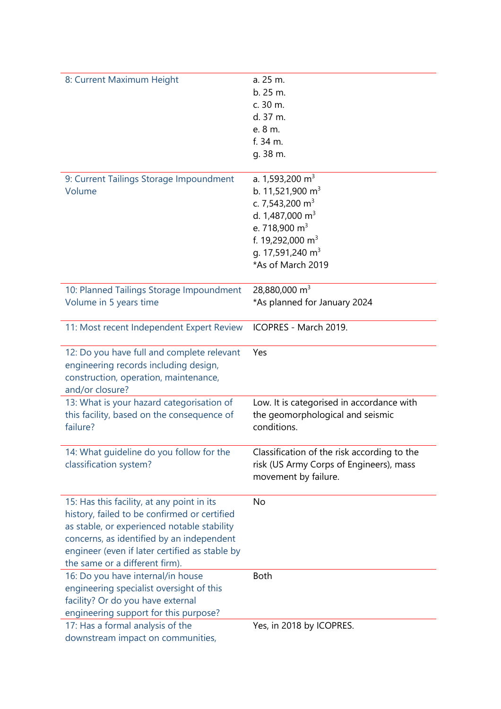| 8: Current Maximum Height                      | a. 25 m.                                    |
|------------------------------------------------|---------------------------------------------|
|                                                | b.25 m.                                     |
|                                                | c. 30 m.                                    |
|                                                | d. 37 m.                                    |
|                                                | e. 8 m.                                     |
|                                                | $f.34$ m.                                   |
|                                                | g. 38 m.                                    |
|                                                |                                             |
| 9: Current Tailings Storage Impoundment        | a. 1,593,200 m <sup>3</sup>                 |
| Volume                                         | b. 11,521,900 m <sup>3</sup>                |
|                                                | c. 7,543,200 $m3$                           |
|                                                | d. 1,487,000 m <sup>3</sup>                 |
|                                                | e. 718,900 $m3$                             |
|                                                | f. 19,292,000 m <sup>3</sup>                |
|                                                | g. 17,591,240 m <sup>3</sup>                |
|                                                | *As of March 2019                           |
|                                                |                                             |
| 10: Planned Tailings Storage Impoundment       | 28,880,000 $m3$                             |
| Volume in 5 years time                         | *As planned for January 2024                |
|                                                |                                             |
| 11: Most recent Independent Expert Review      | ICOPRES - March 2019.                       |
|                                                |                                             |
| 12: Do you have full and complete relevant     | Yes                                         |
| engineering records including design,          |                                             |
| construction, operation, maintenance,          |                                             |
| and/or closure?                                |                                             |
| 13: What is your hazard categorisation of      | Low. It is categorised in accordance with   |
| this facility, based on the consequence of     | the geomorphological and seismic            |
| failure?                                       | conditions.                                 |
|                                                |                                             |
| 14: What quideline do you follow for the       | Classification of the risk according to the |
| classification system?                         | risk (US Army Corps of Engineers), mass     |
|                                                | movement by failure.                        |
|                                                |                                             |
| 15: Has this facility, at any point in its     | No                                          |
| history, failed to be confirmed or certified   |                                             |
| as stable, or experienced notable stability    |                                             |
| concerns, as identified by an independent      |                                             |
| engineer (even if later certified as stable by |                                             |
| the same or a different firm).                 |                                             |
| 16: Do you have internal/in house              | <b>Both</b>                                 |
| engineering specialist oversight of this       |                                             |
| facility? Or do you have external              |                                             |
| engineering support for this purpose?          |                                             |
| 17: Has a formal analysis of the               | Yes, in 2018 by ICOPRES.                    |
| downstream impact on communities,              |                                             |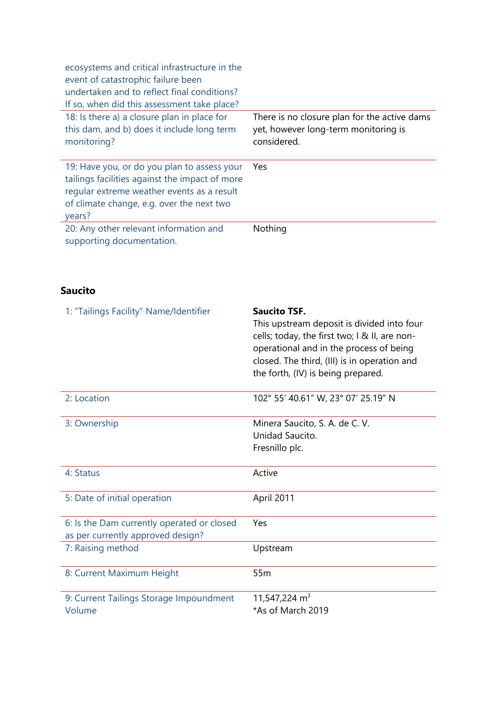| ecosystems and critical infrastructure in the<br>event of catastrophic failure been<br>undertaken and to reflect final conditions?<br>If so, when did this assessment take place?                  |                                                                                                     |
|----------------------------------------------------------------------------------------------------------------------------------------------------------------------------------------------------|-----------------------------------------------------------------------------------------------------|
| 18: Is there a) a closure plan in place for<br>this dam, and b) does it include long term<br>monitoring?                                                                                           | There is no closure plan for the active dams<br>yet, however long-term monitoring is<br>considered. |
| 19: Have you, or do you plan to assess your<br>tailings facilities against the impact of more<br>regular extreme weather events as a result<br>of climate change, e.g. over the next two<br>years? | Yes                                                                                                 |
| 20: Any other relevant information and<br>supporting documentation.                                                                                                                                | Nothing                                                                                             |

## **Saucito**

| 1: "Tailings Facility" Name/Identifier                                          | <b>Saucito TSF.</b><br>This upstream deposit is divided into four<br>cells; today, the first two; I & II, are non-<br>operational and in the process of being<br>closed. The third, (III) is in operation and<br>the forth, (IV) is being prepared. |
|---------------------------------------------------------------------------------|-----------------------------------------------------------------------------------------------------------------------------------------------------------------------------------------------------------------------------------------------------|
| 2: Location                                                                     | 102° 55' 40.61" W, 23° 07' 25.19" N                                                                                                                                                                                                                 |
| 3: Ownership                                                                    | Minera Saucito, S. A. de C. V.<br>Unidad Saucito.<br>Fresnillo plc.                                                                                                                                                                                 |
| 4: Status                                                                       | Active                                                                                                                                                                                                                                              |
| 5: Date of initial operation                                                    | April 2011                                                                                                                                                                                                                                          |
| 6: Is the Dam currently operated or closed<br>as per currently approved design? | Yes                                                                                                                                                                                                                                                 |
| 7: Raising method                                                               | Upstream                                                                                                                                                                                                                                            |
| 8: Current Maximum Height                                                       | 55 <sub>m</sub>                                                                                                                                                                                                                                     |
| 9: Current Tailings Storage Impoundment<br>Volume                               | 11,547,224 m <sup>3</sup><br>*As of March 2019                                                                                                                                                                                                      |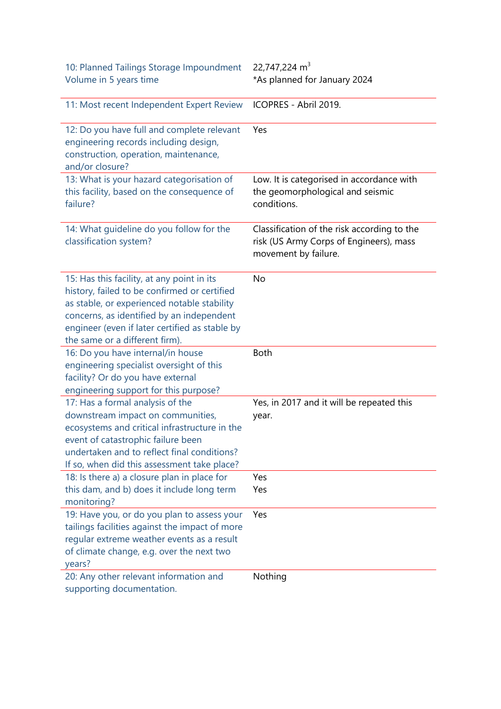| 10: Planned Tailings Storage Impoundment<br>Volume in 5 years time                                                                                                                                                                                                         | 22,747,224 m <sup>3</sup><br>*As planned for January 2024                                                      |
|----------------------------------------------------------------------------------------------------------------------------------------------------------------------------------------------------------------------------------------------------------------------------|----------------------------------------------------------------------------------------------------------------|
| 11: Most recent Independent Expert Review                                                                                                                                                                                                                                  | ICOPRES - Abril 2019.                                                                                          |
| 12: Do you have full and complete relevant<br>engineering records including design,<br>construction, operation, maintenance,<br>and/or closure?                                                                                                                            | Yes                                                                                                            |
| 13: What is your hazard categorisation of<br>this facility, based on the consequence of<br>failure?                                                                                                                                                                        | Low. It is categorised in accordance with<br>the geomorphological and seismic<br>conditions.                   |
| 14: What guideline do you follow for the<br>classification system?                                                                                                                                                                                                         | Classification of the risk according to the<br>risk (US Army Corps of Engineers), mass<br>movement by failure. |
| 15: Has this facility, at any point in its<br>history, failed to be confirmed or certified<br>as stable, or experienced notable stability<br>concerns, as identified by an independent<br>engineer (even if later certified as stable by<br>the same or a different firm). | No                                                                                                             |
| 16: Do you have internal/in house<br>engineering specialist oversight of this<br>facility? Or do you have external<br>engineering support for this purpose?                                                                                                                | <b>Both</b>                                                                                                    |
| 17: Has a formal analysis of the<br>downstream impact on communities,<br>ecosystems and critical infrastructure in the<br>event of catastrophic failure been<br>undertaken and to reflect final conditions?<br>If so, when did this assessment take place?                 | Yes, in 2017 and it will be repeated this<br>year.                                                             |
| 18: Is there a) a closure plan in place for<br>this dam, and b) does it include long term<br>monitoring?                                                                                                                                                                   | Yes<br>Yes                                                                                                     |
| 19: Have you, or do you plan to assess your<br>tailings facilities against the impact of more<br>regular extreme weather events as a result<br>of climate change, e.g. over the next two<br>years?                                                                         | Yes                                                                                                            |
| 20: Any other relevant information and<br>supporting documentation.                                                                                                                                                                                                        | Nothing                                                                                                        |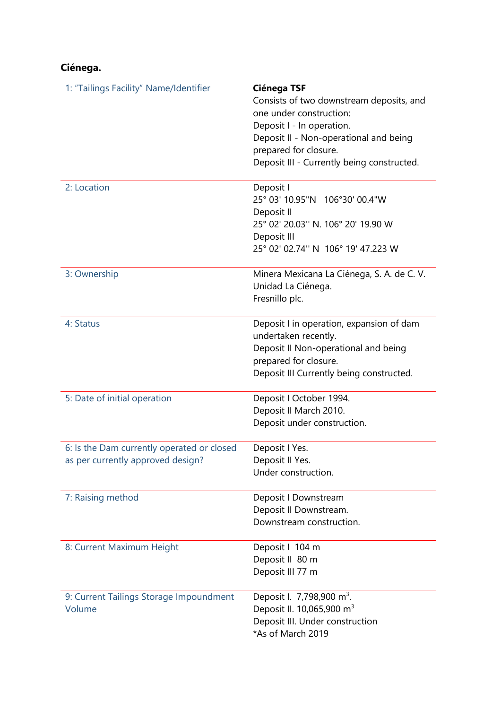# **Ciénega.**

| 1: "Tailings Facility" Name/Identifier                                          | <b>Ciénega TSF</b><br>Consists of two downstream deposits, and<br>one under construction:<br>Deposit I - In operation.<br>Deposit II - Non-operational and being<br>prepared for closure.<br>Deposit III - Currently being constructed. |
|---------------------------------------------------------------------------------|-----------------------------------------------------------------------------------------------------------------------------------------------------------------------------------------------------------------------------------------|
| 2: Location                                                                     | Deposit I<br>25° 03' 10.95"N 106°30' 00.4"W<br>Deposit II<br>25° 02′ 20.03″ N. 106° 20′ 19.90 W<br>Deposit III<br>25° 02' 02.74" N 106° 19' 47.223 W                                                                                    |
| 3: Ownership                                                                    | Minera Mexicana La Ciénega, S. A. de C. V.<br>Unidad La Ciénega.<br>Fresnillo plc.                                                                                                                                                      |
| 4: Status                                                                       | Deposit I in operation, expansion of dam<br>undertaken recently.<br>Deposit II Non-operational and being<br>prepared for closure.<br>Deposit III Currently being constructed.                                                           |
| 5: Date of initial operation                                                    | Deposit I October 1994.<br>Deposit II March 2010.<br>Deposit under construction.                                                                                                                                                        |
| 6: Is the Dam currently operated or closed<br>as per currently approved design? | Deposit I Yes.<br>Deposit II Yes.<br>Under construction.                                                                                                                                                                                |
| 7: Raising method                                                               | Deposit I Downstream<br>Deposit II Downstream.<br>Downstream construction.                                                                                                                                                              |
| 8: Current Maximum Height                                                       | Deposit   104 m<br>Deposit II 80 m<br>Deposit III 77 m                                                                                                                                                                                  |
| 9: Current Tailings Storage Impoundment<br>Volume                               | Deposit I. 7,798,900 m <sup>3</sup> .<br>Deposit II. 10,065,900 m <sup>3</sup><br>Deposit III. Under construction<br>*As of March 2019                                                                                                  |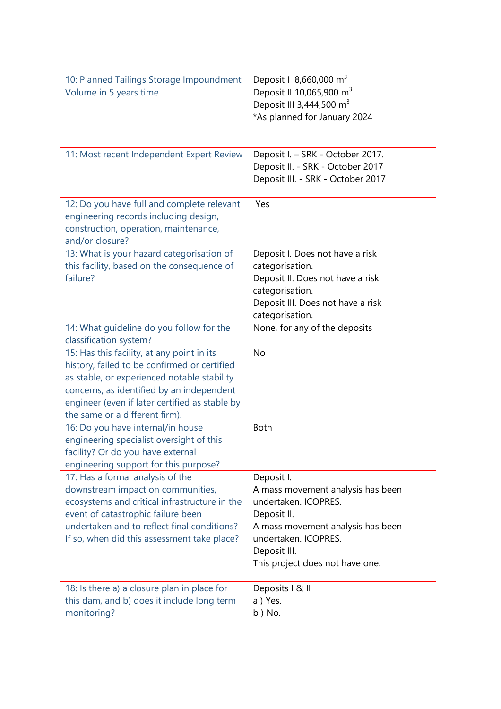| 10: Planned Tailings Storage Impoundment<br>Volume in 5 years time                                                                                                                                                                                         | Deposit   8,660,000 m <sup>3</sup><br>Deposit II 10,065,900 m <sup>3</sup><br>Deposit III 3,444,500 m <sup>3</sup><br>*As planned for January 2024                                                     |
|------------------------------------------------------------------------------------------------------------------------------------------------------------------------------------------------------------------------------------------------------------|--------------------------------------------------------------------------------------------------------------------------------------------------------------------------------------------------------|
| 11: Most recent Independent Expert Review                                                                                                                                                                                                                  | Deposit I. - SRK - October 2017.<br>Deposit II. - SRK - October 2017<br>Deposit III. - SRK - October 2017                                                                                              |
| 12: Do you have full and complete relevant<br>engineering records including design,<br>construction, operation, maintenance,<br>and/or closure?                                                                                                            | Yes                                                                                                                                                                                                    |
| 13: What is your hazard categorisation of<br>this facility, based on the consequence of<br>failure?                                                                                                                                                        | Deposit I. Does not have a risk<br>categorisation.<br>Deposit II. Does not have a risk<br>categorisation.<br>Deposit III. Does not have a risk<br>categorisation.                                      |
| 14: What guideline do you follow for the<br>classification system?                                                                                                                                                                                         | None, for any of the deposits                                                                                                                                                                          |
| 15: Has this facility, at any point in its                                                                                                                                                                                                                 | <b>No</b>                                                                                                                                                                                              |
| history, failed to be confirmed or certified<br>as stable, or experienced notable stability<br>concerns, as identified by an independent<br>engineer (even if later certified as stable by<br>the same or a different firm).                               |                                                                                                                                                                                                        |
| 16: Do you have internal/in house<br>engineering specialist oversight of this<br>facility? Or do you have external<br>engineering support for this purpose?                                                                                                | <b>Both</b>                                                                                                                                                                                            |
| 17: Has a formal analysis of the<br>downstream impact on communities,<br>ecosystems and critical infrastructure in the<br>event of catastrophic failure been<br>undertaken and to reflect final conditions?<br>If so, when did this assessment take place? | Deposit I.<br>A mass movement analysis has been<br>undertaken. ICOPRES.<br>Deposit II.<br>A mass movement analysis has been<br>undertaken. ICOPRES.<br>Deposit III.<br>This project does not have one. |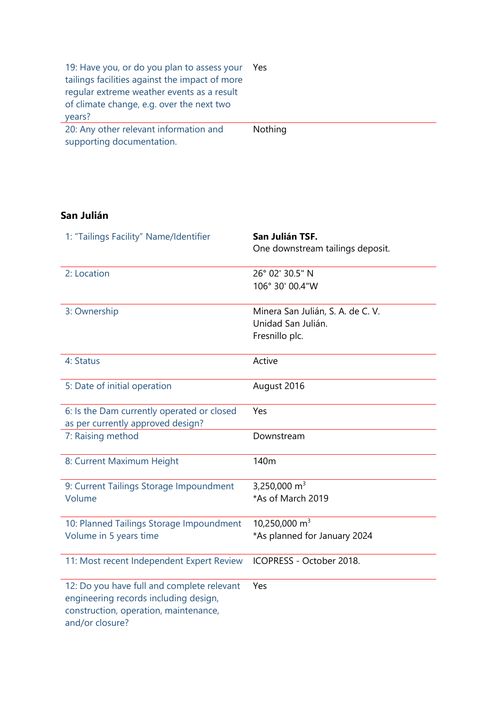| 19: Have you, or do you plan to assess your<br>tailings facilities against the impact of more<br>regular extreme weather events as a result<br>of climate change, e.g. over the next two<br>years? | Yes            |
|----------------------------------------------------------------------------------------------------------------------------------------------------------------------------------------------------|----------------|
| 20: Any other relevant information and<br>supporting documentation.                                                                                                                                | <b>Nothing</b> |

## **San Julián**

| 1: "Tailings Facility" Name/Identifier                                                                                                          | San Julián TSF.<br>One downstream tailings deposit.                       |
|-------------------------------------------------------------------------------------------------------------------------------------------------|---------------------------------------------------------------------------|
| 2: Location                                                                                                                                     | 26° 02' 30.5" N<br>106° 30' 00.4"W                                        |
| 3: Ownership                                                                                                                                    | Minera San Julián, S. A. de C. V.<br>Unidad San Julián.<br>Fresnillo plc. |
| 4: Status                                                                                                                                       | Active                                                                    |
| 5: Date of initial operation                                                                                                                    | August 2016                                                               |
| 6: Is the Dam currently operated or closed<br>as per currently approved design?                                                                 | Yes                                                                       |
| 7: Raising method                                                                                                                               | Downstream                                                                |
| 8: Current Maximum Height                                                                                                                       | 140m                                                                      |
| 9: Current Tailings Storage Impoundment<br>Volume                                                                                               | 3,250,000 m <sup>3</sup><br>*As of March 2019                             |
| 10: Planned Tailings Storage Impoundment<br>Volume in 5 years time                                                                              | 10,250,000 $m3$<br>*As planned for January 2024                           |
| 11: Most recent Independent Expert Review                                                                                                       | ICOPRESS - October 2018.                                                  |
| 12: Do you have full and complete relevant<br>engineering records including design,<br>construction, operation, maintenance,<br>and/or closure? | Yes                                                                       |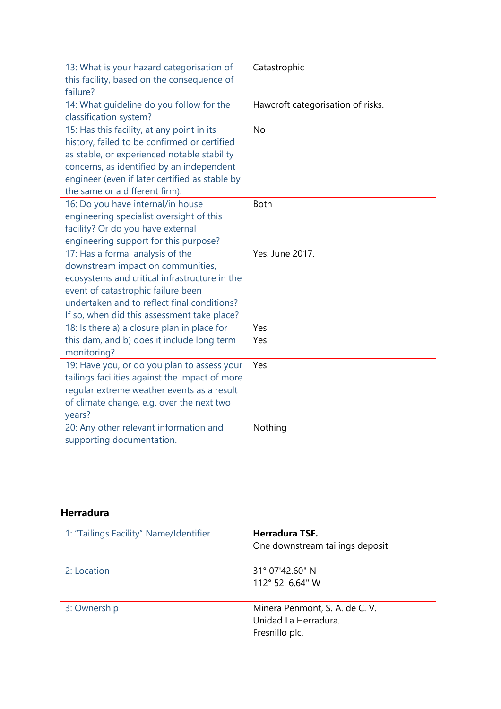| 13: What is your hazard categorisation of<br>this facility, based on the consequence of<br>failure?                                                                                                                                                                        | Catastrophic                      |
|----------------------------------------------------------------------------------------------------------------------------------------------------------------------------------------------------------------------------------------------------------------------------|-----------------------------------|
| 14: What guideline do you follow for the<br>classification system?                                                                                                                                                                                                         | Hawcroft categorisation of risks. |
| 15: Has this facility, at any point in its<br>history, failed to be confirmed or certified<br>as stable, or experienced notable stability<br>concerns, as identified by an independent<br>engineer (even if later certified as stable by<br>the same or a different firm). | <b>No</b>                         |
| 16: Do you have internal/in house<br>engineering specialist oversight of this<br>facility? Or do you have external<br>engineering support for this purpose?                                                                                                                | <b>Both</b>                       |
| 17: Has a formal analysis of the<br>downstream impact on communities,<br>ecosystems and critical infrastructure in the<br>event of catastrophic failure been<br>undertaken and to reflect final conditions?<br>If so, when did this assessment take place?                 | Yes. June 2017.                   |
| 18: Is there a) a closure plan in place for<br>this dam, and b) does it include long term<br>monitoring?                                                                                                                                                                   | Yes<br>Yes                        |
| 19: Have you, or do you plan to assess your<br>tailings facilities against the impact of more<br>regular extreme weather events as a result<br>of climate change, e.g. over the next two<br>years?                                                                         | Yes                               |
| 20: Any other relevant information and<br>supporting documentation.                                                                                                                                                                                                        | Nothing                           |

## **Herradura**

| 1: "Tailings Facility" Name/Identifier | <b>Herradura TSF.</b><br>One downstream tailings deposit                 |
|----------------------------------------|--------------------------------------------------------------------------|
| 2: Location                            | $31^{\circ}$ 07'42.60" N<br>112° 52' 6.64" W                             |
| 3: Ownership                           | Minera Penmont, S. A. de C. V.<br>Unidad La Herradura.<br>Fresnillo plc. |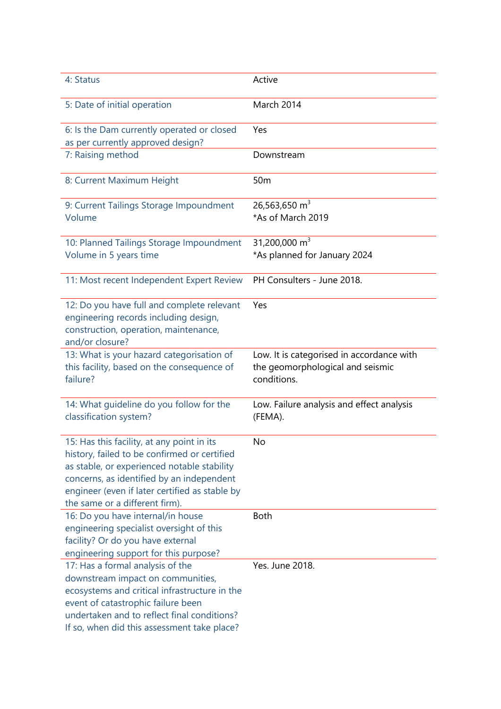| 4: Status                                                                                                                                                                                                                                                                  | Active                                                                                       |
|----------------------------------------------------------------------------------------------------------------------------------------------------------------------------------------------------------------------------------------------------------------------------|----------------------------------------------------------------------------------------------|
| 5: Date of initial operation                                                                                                                                                                                                                                               | <b>March 2014</b>                                                                            |
| 6: Is the Dam currently operated or closed<br>as per currently approved design?                                                                                                                                                                                            | Yes                                                                                          |
| 7: Raising method                                                                                                                                                                                                                                                          | Downstream                                                                                   |
| 8: Current Maximum Height                                                                                                                                                                                                                                                  | 50 <sub>m</sub>                                                                              |
| 9: Current Tailings Storage Impoundment<br>Volume                                                                                                                                                                                                                          | 26,563,650 $m3$<br>*As of March 2019                                                         |
| 10: Planned Tailings Storage Impoundment<br>Volume in 5 years time                                                                                                                                                                                                         | 31,200,000 $m3$<br>*As planned for January 2024                                              |
| 11: Most recent Independent Expert Review                                                                                                                                                                                                                                  | PH Consulters - June 2018.                                                                   |
| 12: Do you have full and complete relevant<br>engineering records including design,<br>construction, operation, maintenance,<br>and/or closure?                                                                                                                            | Yes                                                                                          |
| 13: What is your hazard categorisation of<br>this facility, based on the consequence of<br>failure?                                                                                                                                                                        | Low. It is categorised in accordance with<br>the geomorphological and seismic<br>conditions. |
| 14: What quideline do you follow for the<br>classification system?                                                                                                                                                                                                         | Low. Failure analysis and effect analysis<br>(FEMA).                                         |
| 15: Has this facility, at any point in its<br>history, failed to be confirmed or certified<br>as stable, or experienced notable stability<br>concerns, as identified by an independent<br>engineer (even if later certified as stable by<br>the same or a different firm). | No                                                                                           |
| 16: Do you have internal/in house<br>engineering specialist oversight of this<br>facility? Or do you have external<br>engineering support for this purpose?                                                                                                                | <b>Both</b>                                                                                  |
| 17: Has a formal analysis of the<br>downstream impact on communities,<br>ecosystems and critical infrastructure in the<br>event of catastrophic failure been<br>undertaken and to reflect final conditions?<br>If so, when did this assessment take place?                 | Yes. June 2018.                                                                              |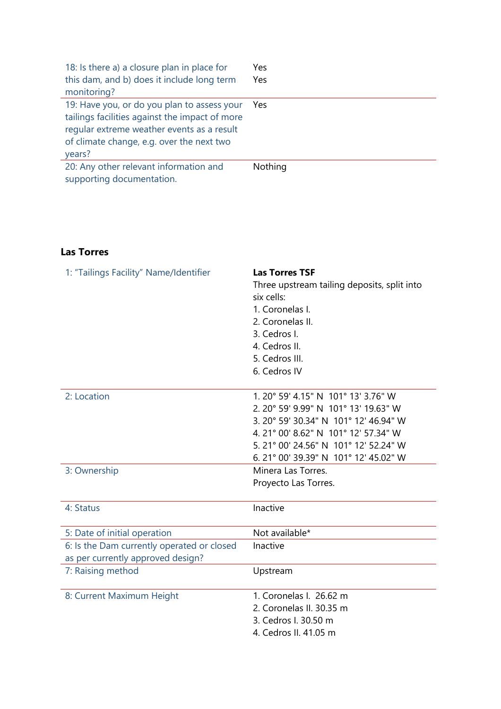| 18: Is there a) a closure plan in place for    | Yes     |
|------------------------------------------------|---------|
| this dam, and b) does it include long term     | Yes.    |
| monitoring?                                    |         |
| 19: Have you, or do you plan to assess your    | Yes.    |
| tailings facilities against the impact of more |         |
| regular extreme weather events as a result     |         |
| of climate change, e.g. over the next two      |         |
| years?                                         |         |
| 20: Any other relevant information and         | Nothing |
| supporting documentation.                      |         |

## **Las Torres**

| 1: "Tailings Facility" Name/Identifier                                          | <b>Las Torres TSF</b><br>Three upstream tailing deposits, split into<br>six cells:<br>1. Coronelas I.<br>2. Coronelas II.<br>3. Cedros I.<br>4. Cedros II.<br>5. Cedros III.<br>6. Cedros IV                                                  |
|---------------------------------------------------------------------------------|-----------------------------------------------------------------------------------------------------------------------------------------------------------------------------------------------------------------------------------------------|
| 2: Location                                                                     | 1. 20° 59' 4.15" N 101° 13' 3.76" W<br>2. 20° 59' 9.99" N 101° 13' 19.63" W<br>3. 20° 59' 30.34" N 101° 12' 46.94" W<br>4. 21° 00' 8.62" N 101° 12' 57.34" W<br>5.21° 00' 24.56" N 101° 12' 52.24" W<br>6. 21° 00' 39.39" N 101° 12' 45.02" W |
| 3: Ownership                                                                    | Minera Las Torres.<br>Proyecto Las Torres.                                                                                                                                                                                                    |
| 4: Status                                                                       | Inactive                                                                                                                                                                                                                                      |
| 5: Date of initial operation                                                    | Not available*                                                                                                                                                                                                                                |
| 6: Is the Dam currently operated or closed<br>as per currently approved design? | Inactive                                                                                                                                                                                                                                      |
| 7: Raising method                                                               | Upstream                                                                                                                                                                                                                                      |
| 8: Current Maximum Height                                                       | 1. Coronelas I. 26.62 m<br>2. Coronelas II. 30.35 m<br>3. Cedros I. 30.50 m<br>4. Cedros II. 41.05 m                                                                                                                                          |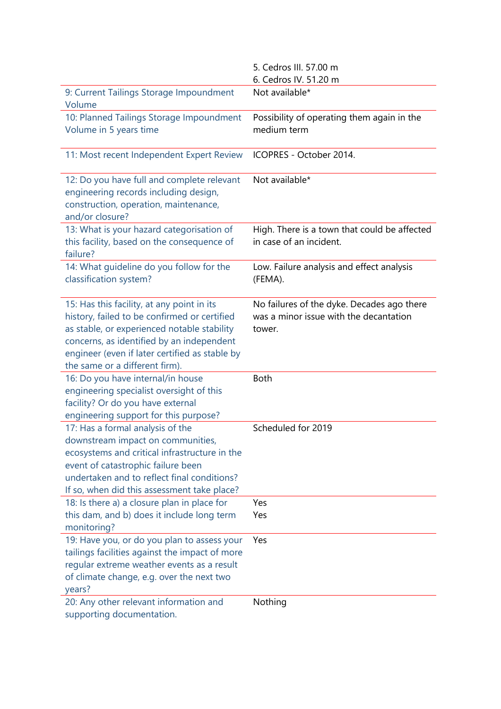|                                                                                                                                                                                                                                                                            | 5. Cedros III. 57.00 m                                                                         |
|----------------------------------------------------------------------------------------------------------------------------------------------------------------------------------------------------------------------------------------------------------------------------|------------------------------------------------------------------------------------------------|
|                                                                                                                                                                                                                                                                            | 6. Cedros IV. 51.20 m                                                                          |
| 9: Current Tailings Storage Impoundment<br>Volume                                                                                                                                                                                                                          | Not available*                                                                                 |
| 10: Planned Tailings Storage Impoundment<br>Volume in 5 years time                                                                                                                                                                                                         | Possibility of operating them again in the<br>medium term                                      |
|                                                                                                                                                                                                                                                                            |                                                                                                |
| 11: Most recent Independent Expert Review                                                                                                                                                                                                                                  | ICOPRES - October 2014.                                                                        |
| 12: Do you have full and complete relevant<br>engineering records including design,<br>construction, operation, maintenance,<br>and/or closure?                                                                                                                            | Not available*                                                                                 |
| 13: What is your hazard categorisation of<br>this facility, based on the consequence of<br>failure?                                                                                                                                                                        | High. There is a town that could be affected<br>in case of an incident.                        |
| 14: What guideline do you follow for the<br>classification system?                                                                                                                                                                                                         | Low. Failure analysis and effect analysis<br>(FEMA).                                           |
| 15: Has this facility, at any point in its<br>history, failed to be confirmed or certified<br>as stable, or experienced notable stability<br>concerns, as identified by an independent<br>engineer (even if later certified as stable by<br>the same or a different firm). | No failures of the dyke. Decades ago there<br>was a minor issue with the decantation<br>tower. |
| 16: Do you have internal/in house<br>engineering specialist oversight of this<br>facility? Or do you have external<br>engineering support for this purpose?                                                                                                                | <b>Both</b>                                                                                    |
| 17: Has a formal analysis of the<br>downstream impact on communities,<br>ecosystems and critical infrastructure in the<br>event of catastrophic failure been<br>undertaken and to reflect final conditions?<br>If so, when did this assessment take place?                 | Scheduled for 2019                                                                             |
| 18: Is there a) a closure plan in place for                                                                                                                                                                                                                                | Yes                                                                                            |
| this dam, and b) does it include long term<br>monitoring?                                                                                                                                                                                                                  | Yes                                                                                            |
| 19: Have you, or do you plan to assess your<br>tailings facilities against the impact of more<br>regular extreme weather events as a result<br>of climate change, e.g. over the next two<br>years?                                                                         | Yes                                                                                            |
| 20: Any other relevant information and<br>supporting documentation.                                                                                                                                                                                                        | Nothing                                                                                        |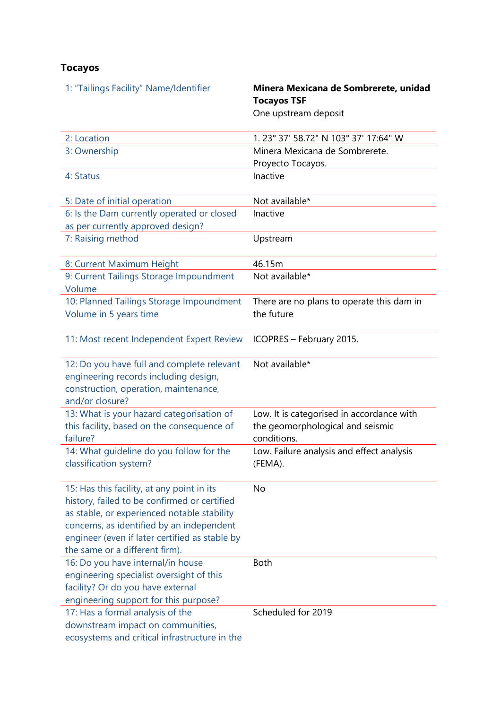# **Tocayos**

| 1: "Tailings Facility" Name/Identifier                                                                                                                                                                                                                                     | Minera Mexicana de Sombrerete, unidad<br><b>Tocayos TSF</b><br>One upstream deposit          |
|----------------------------------------------------------------------------------------------------------------------------------------------------------------------------------------------------------------------------------------------------------------------------|----------------------------------------------------------------------------------------------|
| 2: Location                                                                                                                                                                                                                                                                | 1.23° 37' 58.72" N 103° 37' 17:64" W                                                         |
| 3: Ownership                                                                                                                                                                                                                                                               | Minera Mexicana de Sombrerete.                                                               |
|                                                                                                                                                                                                                                                                            | Proyecto Tocayos.                                                                            |
| 4: Status                                                                                                                                                                                                                                                                  | Inactive                                                                                     |
| 5: Date of initial operation                                                                                                                                                                                                                                               | Not available*                                                                               |
| 6: Is the Dam currently operated or closed<br>as per currently approved design?                                                                                                                                                                                            | Inactive                                                                                     |
| 7: Raising method                                                                                                                                                                                                                                                          | Upstream                                                                                     |
| 8: Current Maximum Height                                                                                                                                                                                                                                                  | 46.15m                                                                                       |
| 9: Current Tailings Storage Impoundment<br>Volume                                                                                                                                                                                                                          | Not available*                                                                               |
| 10: Planned Tailings Storage Impoundment                                                                                                                                                                                                                                   | There are no plans to operate this dam in                                                    |
| Volume in 5 years time                                                                                                                                                                                                                                                     | the future                                                                                   |
| 11: Most recent Independent Expert Review                                                                                                                                                                                                                                  | ICOPRES - February 2015.                                                                     |
| 12: Do you have full and complete relevant<br>engineering records including design,<br>construction, operation, maintenance,<br>and/or closure?                                                                                                                            | Not available*                                                                               |
| 13: What is your hazard categorisation of<br>this facility, based on the consequence of<br>failure?                                                                                                                                                                        | Low. It is categorised in accordance with<br>the geomorphological and seismic<br>conditions. |
| 14: What quideline do you follow for the                                                                                                                                                                                                                                   | Low. Failure analysis and effect analysis                                                    |
| classification system?                                                                                                                                                                                                                                                     | (FEMA).                                                                                      |
| 15: Has this facility, at any point in its<br>history, failed to be confirmed or certified<br>as stable, or experienced notable stability<br>concerns, as identified by an independent<br>engineer (even if later certified as stable by<br>the same or a different firm). | No                                                                                           |
| 16: Do you have internal/in house<br>engineering specialist oversight of this<br>facility? Or do you have external<br>engineering support for this purpose?                                                                                                                | <b>Both</b>                                                                                  |
| 17: Has a formal analysis of the<br>downstream impact on communities,<br>ecosystems and critical infrastructure in the                                                                                                                                                     | Scheduled for 2019                                                                           |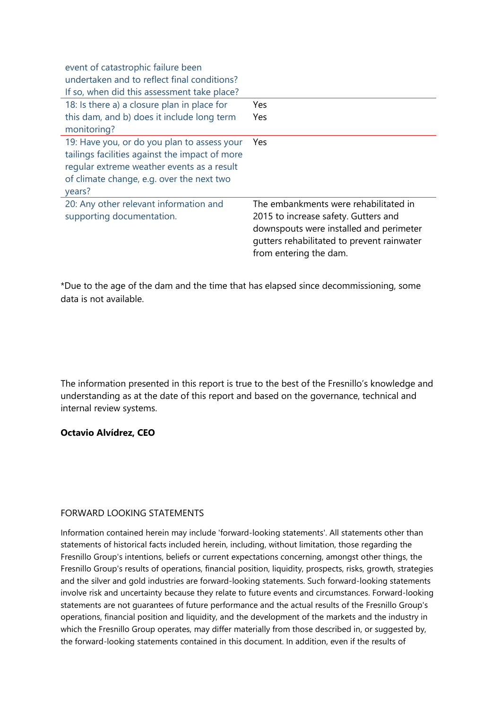| event of catastrophic failure been<br>undertaken and to reflect final conditions?<br>If so, when did this assessment take place?                                                                   |                                                                                                                                                                                                  |
|----------------------------------------------------------------------------------------------------------------------------------------------------------------------------------------------------|--------------------------------------------------------------------------------------------------------------------------------------------------------------------------------------------------|
| 18: Is there a) a closure plan in place for<br>this dam, and b) does it include long term<br>monitoring?                                                                                           | Yes<br><b>Yes</b>                                                                                                                                                                                |
| 19: Have you, or do you plan to assess your<br>tailings facilities against the impact of more<br>regular extreme weather events as a result<br>of climate change, e.g. over the next two<br>years? | Yes                                                                                                                                                                                              |
| 20: Any other relevant information and<br>supporting documentation.                                                                                                                                | The embankments were rehabilitated in<br>2015 to increase safety. Gutters and<br>downspouts were installed and perimeter<br>gutters rehabilitated to prevent rainwater<br>from entering the dam. |

\*Due to the age of the dam and the time that has elapsed since decommissioning, some data is not available.

The information presented in this report is true to the best of the Fresnillo's knowledge and understanding as at the date of this report and based on the governance, technical and internal review systems.

### **Octavio Alvídrez, CEO**

### FORWARD LOOKING STATEMENTS

Information contained herein may include 'forward-looking statements'. All statements other than statements of historical facts included herein, including, without limitation, those regarding the Fresnillo Group's intentions, beliefs or current expectations concerning, amongst other things, the Fresnillo Group's results of operations, financial position, liquidity, prospects, risks, growth, strategies and the silver and gold industries are forward-looking statements. Such forward-looking statements involve risk and uncertainty because they relate to future events and circumstances. Forward-looking statements are not guarantees of future performance and the actual results of the Fresnillo Group's operations, financial position and liquidity, and the development of the markets and the industry in which the Fresnillo Group operates, may differ materially from those described in, or suggested by, the forward-looking statements contained in this document. In addition, even if the results of